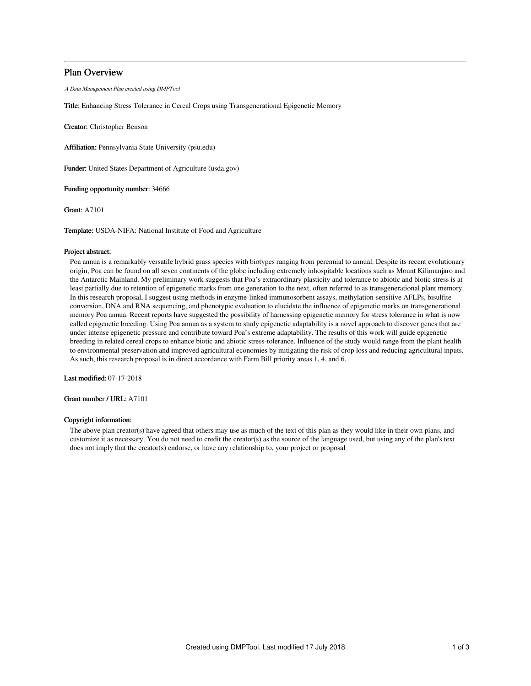# Plan Overview

A Data Management Plan created using DMPTool

Title: Enhancing Stress Tolerance in Cereal Crops using Transgenerational Epigenetic Memory

Creator: Christopher Benson

Affiliation: Pennsylvania State University (psu.edu)

Funder: United States Department of Agriculture (usda.gov)

Funding opportunity number: 34666

Grant: A7101

Template: USDA-NIFA: National Institute of Food and Agriculture

#### Project abstract:

Poa annua is a remarkably versatile hybrid grass species with biotypes ranging from perennial to annual. Despite its recent evolutionary origin, Poa can be found on all seven continents of the globe including extremely inhospitable locations such as Mount Kilimanjaro and the Antarctic Mainland. My preliminary work suggests that Poa's extraordinary plasticity and tolerance to abiotic and biotic stress is at least partially due to retention of epigenetic marks from one generation to the next, often referred to as transgenerational plant memory. In this research proposal, I suggest using methods in enzyme-linked immunosorbent assays, methylation-sensitive AFLPs, bisulfite conversion, DNA and RNA sequencing, and phenotypic evaluation to elucidate the influence of epigenetic marks on transgenerational memory Poa annua. Recent reports have suggested the possibility of harnessing epigenetic memory for stress tolerance in what is now called epigenetic breeding. Using Poa annua as a system to study epigenetic adaptability is a novel approach to discover genes that are under intense epigenetic pressure and contribute toward Poa's extreme adaptability. The results of this work will guide epigenetic breeding in related cereal crops to enhance biotic and abiotic stress-tolerance. Influence of the study would range from the plant health to environmental preservation and improved agricultural economies by mitigating the risk of crop loss and reducing agricultural inputs. As such, this research proposal is in direct accordance with Farm Bill priority areas 1, 4, and 6.

Last modified: 07-17-2018

Grant number / URL: A7101

### Copyright information:

The above plan creator(s) have agreed that others may use as much of the text of this plan as they would like in their own plans, and customize it as necessary. You do not need to credit the creator(s) as the source of the language used, but using any of the plan's text does not imply that the creator(s) endorse, or have any relationship to, your project or proposal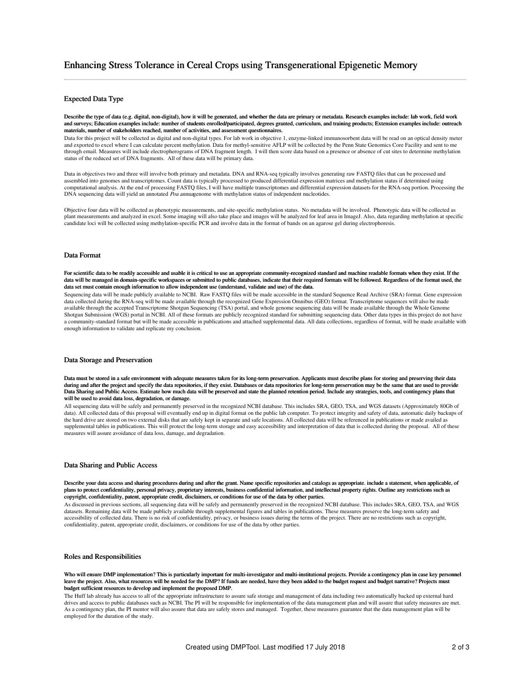## Expected Data Type

Describe the type of data (e.g. digital, non-digital), how it will be generated, and whether the data are primary or metadata. Research examples include: lab work, field work and surveys; Education examples include: number of students enrolled/participated, degrees granted, curriculum, and training products; Extension examples include: outreach materials, number of stakeholders reached, number of activities, and assessment questionnaires.

Data for this project will be collected as digital and non-digital types. For lab work in objective 1, enzyme-linked immunosorbent data will be read on an optical density meter and exported to excel where I can calculate percent methylation. Data for methyl-sensitive AFLP will be collected by the Penn State Genomics Core Facility and sent to me through email. Measures will include electropherograms of DNA fragment length. I will then score data based on a presence or absence of cut sites to determine methylation status of the reduced set of DNA fragments. All of these data will be primary data.

Data in objectives two and three will involve both primary and metadata. DNA and RNA-seq typically involves generating raw FASTQ files that can be processed and assembled into genomes and transcriptomes. Count data is typically processed to produced differential expression matrices and methylation status if determined using computational analysis. At the end of processing FASTQ files, I will have multiple transcriptomes and differential expression datasets for the RNA-seq portion. Processing the DNA sequencing data will yield an annotated Poa annuagenome with methylation status of independent nucleotides.

Objective four data will be collected as phenotypic measurements, and site-specific methylation status. No metadata will be involved. Phenotypic data will be collected as plant measurements and analyzed in excel. Some imaging will also take place and images will be analyzed for leaf area in ImageJ. Also, data regarding methylation at specific candidate loci will be collected using methylation-specific PCR and involve data in the format of bands on an agarose gel during electrophoresis.

#### Data Format

For scientific data to be readily accessible and usable it is critical to use an appropriate community-recognized standard and machine readable formats when they exist. If the data will be managed in domain-specific workspaces or submitted to public databases, indicate that their required formats will be followed. Regardless of the format used, the data set must contain enough information to allow independent use (understand, validate and use) of the data.

Sequencing data will be made publicly available to NCBI. Raw FASTQ files will be made accessible in the standard Sequence Read Archive (SRA) format. Gene expression data collected during the RNA-seq will be made available through the recognized Gene Expression Omnibus (GEO) format. Transcriptome sequences will also be made available through the accepted Transcriptome Shotgun Sequencing (TSA) portal, and whole genome sequencing data will be made available through the Whole Genome Shotgun Submission (WGS) portal in NCBI. All of these formats are publicly recognized standard for submitting sequencing data. Other data types in this project do not have a community-standard format but will be made accessible in publications and attached supplemental data. All data collections, regardless of format, will be made available with enough information to validate and replicate my conclusion.

#### Data Storage and Preservation

Data must be stored in a safe environment with adequate measures taken for its long-term preservation. Applicants must describe plans for storing and preserving their data during and after the project and specify the data repositories, if they exist. Databases or data repositories for long-term preservation may be the same that are used to provide Data Sharing and Public Access. Estimate how much data will be preserved and state the planned retention period. Include any strategies, tools, and contingency plans that will be used to avoid data loss, degradation, or damage.

All sequencing data will be safely and permanently preserved in the recognized NCBI database. This includes SRA, GEO, TSA, and WGS datasets (Approximately 80Gb of data). All collected data of this proposal will eventually end up in digital format on the public lab computer. To protect integrity and safety of data, automatic daily backups of the hard drive are stored on two external disks that are safely kept in separate and safe locations. All collected data will be referenced in publications or made availed as supplemental tables in publications. This will protect the long-term storage and easy accessibility and interpretation of data that is collected during the proposal. All of these measures will assure avoidance of data loss, damage, and degradation.

#### Data Sharing and Public Access

Describe your data access and sharing procedures during and after the grant. Name specific repositories and catalogs as appropriate. include a statement, when applicable, of plans to protect confidentiality, personal privacy, proprietary interests, business confidential information, and intellectual property rights. Outline any restrictions such as copyright, confidentiality, patent, appropriate credit, disclaimers, or conditions for use of the data by other parties.

As discussed in previous sections, all sequencing data will be safely and permanently preserved in the recognized NCBI database. This includes SRA, GEO, TSA, and WGS datasets. Remaining data will be made publicly available through supplemental figures and tables in publications. These measures preserve the long-term safety and accessibility of collected data. There is no risk of confidentiality, privacy, or business issues during the terms of the project. There are no restrictions such as copyright, confidentiality, patent, appropriate credit, disclaimers, or conditions for use of the data by other parties.

## Roles and Responsibilities

Who will ensure DMP implementation? This is particularly important for multi-investigator and multi-institutional projects. Provide a contingency plan in case key personnel leave the project. Also, what resources will be needed for the DMP? If funds are needed, have they been added to the budget request and budget narrative? Projects must budget sufficient resources to develop and implement the proposed DMP.

The Huff lab already has access to all of the appropriate infrastructure to assure safe storage and management of data including two automatically backed up external hard drives and access to public databases such as NCBI. The PI will be responsible for implementation of the data management plan and will assure that safety measures are met. As a contingency plan, the PI mentor will also assure that data are safely stores and managed. Together, these measures guarantee that the data management plan will be employed for the duration of the study.